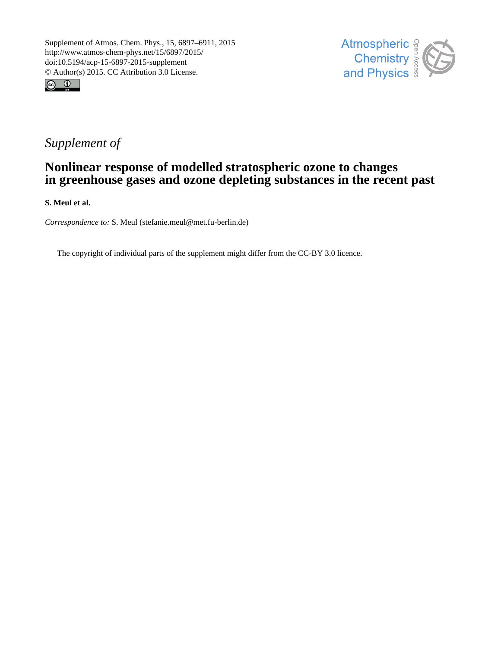



## *Supplement of*

## **Nonlinear response of modelled stratospheric ozone to changes in greenhouse gases and ozone depleting substances in the recent past**

**S. Meul et al.**

*Correspondence to:* S. Meul (stefanie.meul@met.fu-berlin.de)

The copyright of individual parts of the supplement might differ from the CC-BY 3.0 licence.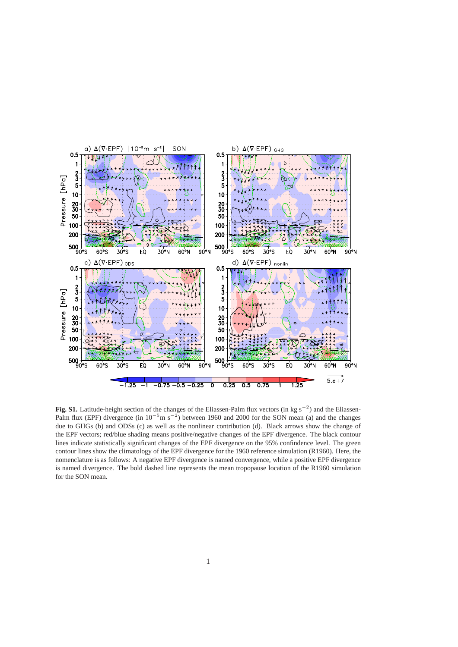

**Fig. S1.** Latitude-height section of the changes of the Eliassen-Palm flux vectors (in kg s<sup>−</sup><sup>2</sup> ) and the Eliassen-Palm flux (EPF) divergence (in 10<sup>-5</sup>m s<sup>-2</sup>) between 1960 and 2000 for the SON mean (a) and the changes due to GHGs (b) and ODSs (c) as well as the nonlinear contribution (d). Black arrows show the change of the EPF vectors; red/blue shading means positive/negative changes of the EPF divergence. The black contour lines indicate statistically significant changes of the EPF divergence on the 95% confindence level. The green contour lines show the climatology of the EPF divergence for the 1960 reference simulation (R1960). Here, the nomenclature is as follows: A negative EPF divergence is named convergence, while a positive EPF divergence is named divergence. The bold dashed line represents the mean tropopause location of the R1960 simulation for the SON mean.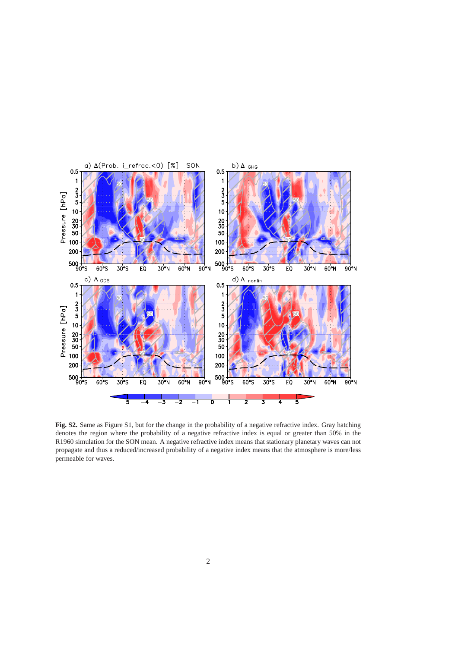

**Fig. S2.** Same as Figure S1, but for the change in the probability of a negative refractive index. Gray hatching denotes the region where the probability of a negative refractive index is equal or greater than 50% in the R1960 simulation for the SON mean. A negative refractive index means that stationary planetary waves can not propagate and thus a reduced/increased probability of a negative index means that the atmosphere is more/less permeable for waves.